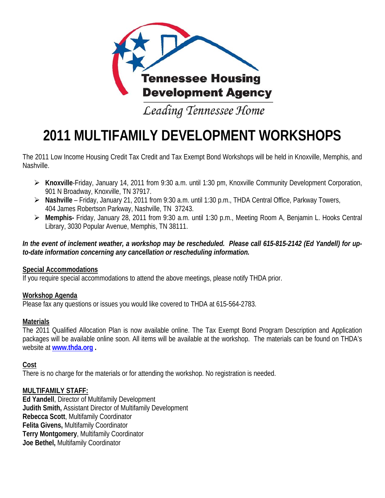

# **2011 MULTIFAMILY DEVELOPMENT WORKSHOPS**

The 2011 Low Income Housing Credit Tax Credit and Tax Exempt Bond Workshops will be held in Knoxville, Memphis, and Nashville.

- **Knoxville**-Friday, January 14, 2011 from 9:30 a.m. until 1:30 pm, Knoxville Community Development Corporation, 901 N Broadway, Knoxville, TN 37917.
- **Nashville** Friday, January 21, 2011 from 9:30 a.m. until 1:30 p.m., THDA Central Office, Parkway Towers, 404 James Robertson Parkway, Nashville, TN 37243.
- **Memphis-** Friday, January 28, 2011 from 9:30 a.m. until 1:30 p.m., Meeting Room A, Benjamin L. Hooks Central Library, 3030 Popular Avenue, Memphis, TN 38111.

#### *In the event of inclement weather, a workshop may be rescheduled. Please call 615-815-2142 (Ed Yandell) for upto-date information concerning any cancellation or rescheduling information.*

## **Special Accommodations**

If you require special accommodations to attend the above meetings, please notify THDA prior.

## **Workshop Agenda**

Please fax any questions or issues you would like covered to THDA at 615-564-2783.

## **Materials**

The 2011 Qualified Allocation Plan is now available online. The Tax Exempt Bond Program Description and Application packages will be available online soon. All items will be available at the workshop. The materials can be found on THDA's website at **www.thda.org .**

## **Cost**

There is no charge for the materials or for attending the workshop. No registration is needed.

## **MULTIFAMILY STAFF:**

**Ed Yandell**, Director of Multifamily Development **Judith Smith,** Assistant Director of Multifamily Development **Rebecca Scott**, Multifamily Coordinator **Felita Givens,** Multifamily Coordinator **Terry Montgomery**, Multifamily Coordinator **Joe Bethel,** Multifamily Coordinator